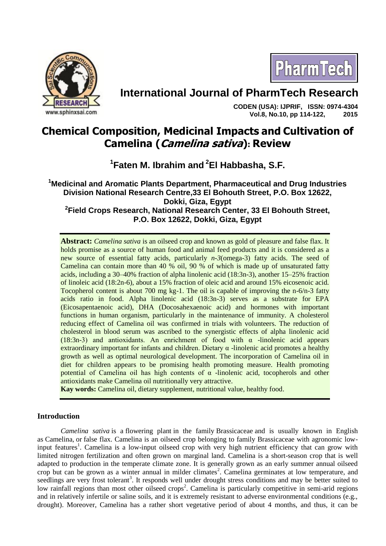

# **International Journal of PharmTech Research**

 **CODEN (USA): IJPRIF, ISSN: 0974-4304 Vol.8, No.10, pp 114-122, 2015**

PharmTech

# **Chemical Composition, Medicinal Impacts and Cultivation of Camelina (Camelina sativa): Review**

**1 Faten M. Ibrahim and <sup>2</sup>El Habbasha, S.F.**

**<sup>1</sup>Medicinal and Aromatic Plants Department, Pharmaceutical and Drug Industries Division National Research Centre,33 El Bohouth Street, P.O. Box 12622, Dokki, Giza, Egypt 2 Field Crops Research, National Research Center, 33 El Bohouth Street, P.O. Box 12622, Dokki, Giza, Egypt**

**Abstract:** *Camelina sativa* is an oilseed crop and known as gold of pleasure and false flax. It holds promise as a source of human food and animal feed products and it is considered as a new source of essential fatty acids, particularly *n-3*(omega-3) fatty acids. The seed of Camelina can contain more than 40 % oil, 90 % of which is made up of unsaturated fatty acids, including a 30–40% fraction of alpha linolenic acid (18:3n-3), another 15–25% fraction of linoleic acid (18:2n-6), about a 15% fraction of oleic acid and around 15% eicosenoic acid. Tocopherol content is about 700 mg kg-1. The oil is capable of improving the n-6/n-3 fatty acids ratio in food. Alpha linolenic acid (18:3n-3) serves as a substrate for EPA (Eicosapentaenoic acid), DHA (Docosahexaenoic acid) and hormones with important functions in human organism, particularly in the maintenance of immunity. A cholesterol reducing effect of Camelina oil was confirmed in trials with volunteers. The reduction of cholesterol in blood serum was ascribed to the synergistic effects of alpha linolenic acid (18:3n-3) and antioxidants. An enrichment of food with  $\alpha$  -linolenic acid appears extraordinary important for infants and children. Dietary  $\alpha$  -linolenic acid promotes a healthy growth as well as optimal neurological development. The incorporation of Camelina oil in diet for children appears to be promising health promoting measure. Health promoting potential of Camelina oil has high contents of α -linolenic acid, tocopherols and other antioxidants make Camelina oil nutritionally very attractive.

**Kay words:** Camelina oil, dietary supplement, nutritional value, healthy food.

# **Introduction**

*Camelina sativa* is a [flowering plant](https://en.wikipedia.org/wiki/Flowering_plant) in the family [Brassicaceae](https://en.wikipedia.org/wiki/Brassicaceae) and is usually known in English as Camelina, or false flax. Camelina is an oilseed crop belonging to family Brassicaceae with agronomic lowinput features<sup>1</sup>. Camelina is a low-input oilseed crop with very high nutrient efficiency that can grow with limited nitrogen fertilization and often grown on marginal land. Camelina is a short-season crop that is well adapted to production in the temperate climate zone. It is generally grown as an early summer annual oilseed crop but can be grown as a winter annual in milder climates<sup>2</sup>. Camelina germinates at low temperature, and seedlings are very frost tolerant<sup>3</sup>. It responds well under drought stress conditions and may be better suited to low rainfall regions than most other oilseed crops<sup>2</sup>. Camelina is particularly competitive in semi-arid regions and in relatively infertile or saline soils, and it is extremely resistant to adverse environmental conditions (e.g., drought). Moreover, Camelina has a rather short vegetative period of about 4 months, and thus, it can be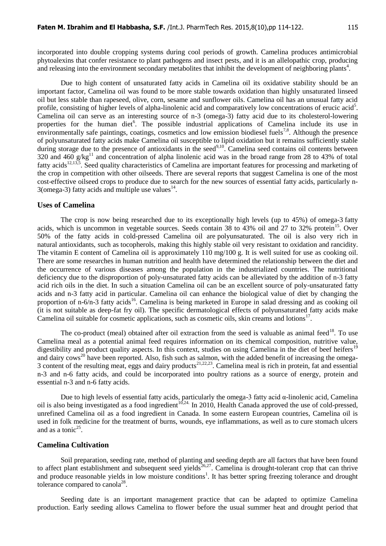incorporated into double cropping systems during cool periods of growth. Camelina produces antimicrobial phytoalexins that confer resistance to plant pathogens and insect pests, and it is an allelopathic crop, producing and releasing into the environment secondary metabolites that inhibit the development of neighboring plants<sup>4</sup>.

Due to high content of unsaturated fatty acids in Camelina oil its oxidative stability should be an important factor, Camelina oil was found to be more stable towards oxidation than highly unsaturated linseed oil but less stable than rapeseed, olive, corn, sesame and sunflower oils. Camelina oil has an unusual fatty acid profile, consisting of higher levels of alpha-linolenic acid and comparatively low concentrations of erucic acid<sup>5</sup>. Camelina oil can serve as an interesting source of n-3 (omega-3) fatty acid due to its cholesterol-lowering properties for the human diet<sup>6</sup>. The possible industrial applications of Camelina include its use in environmentally safe paintings, coatings, cosmetics and low emission biodiesel fuels<sup>7,8</sup>. Although the presence of polyunsaturated fatty acids make Camelina oil susceptible to lipid oxidation but it remains sufficiently stable during storage due to the presence of antioxidants in the seed<sup>9,10</sup>. Camelina seed contains oil contents between 320 and 460  $g/kg<sup>11</sup>$  and concentration of alpha linolenic acid was in the broad range from 28 to 43% of total fatty acids<sup>12,13,5</sup>. Seed quality characteristics of Camelina are important features for processing and marketing of the crop in competition with other oilseeds. There are several reports that suggest Camelina is one of the most cost-effective oilseed crops to produce due to search for the new sources of essential fatty acids, particularly n- $3$ (omega-3) fatty acids and multiple use values $^{14}$ .

#### **Uses of Camelina**

The crop is now being researched due to its exceptionally high levels (up to 45%) of [omega-3](https://en.wikipedia.org/wiki/Omega-3) [fatty](https://en.wikipedia.org/wiki/Fatty_acids)  [acids,](https://en.wikipedia.org/wiki/Fatty_acids) which is uncommon in vegetable sources. Seeds contain 38 to 43% oil and 27 to 32% protein<sup>15</sup>. Over 50% of the fatty acids in cold-pressed Camelina oil are [polyunsaturated.](https://en.wikipedia.org/wiki/Polyunsaturated) The oil is also very rich in natural [antioxidants,](https://en.wikipedia.org/wiki/Antioxidants) such as [tocopherols,](https://en.wikipedia.org/wiki/Tocopherols) making this highly stable oil very resistant to [oxidation](https://en.wikipedia.org/wiki/Oxidation) and [rancidity.](https://en.wikipedia.org/wiki/Rancidity) The [vitamin E](https://en.wikipedia.org/wiki/Vitamin_E) content of Camelina oil is approximately 110 mg/100 g. It is well suited for use as [cooking oil.](https://en.wikipedia.org/wiki/Cooking_oil) There are some researches in human nutrition and health have determined the relationship between the diet and the occurrence of various diseases among the population in the industrialized countries. The nutritional deficiency due to the disproportion of poly-unsaturated fatty acids can be alleviated by the addition of n-3 fatty acid rich oils in the diet. In such a situation Camelina oil can be an excellent source of poly-unsaturated fatty acids and n-3 fatty acid in particular. Camelina oil can enhance the biological value of diet by changing the proportion of n-6/n-3 fatty acids<sup>16</sup>. Camelina is being marketed in Europe in salad dressing and as cooking oil (it is not suitable as deep-fat fry oil). The specific dermatological effects of polyunsaturated fatty acids make Camelina oil suitable for cosmetic applications, such as cosmetic oils, skin creams and lotions<sup>17</sup>.

The co-product (meal) obtained after oil extraction from the seed is valuable as animal feed<sup>18</sup>. To use Camelina meal as a potential animal feed requires information on its chemical composition, nutritive value, digestibility and product quality aspects. In this context, studies on using Camelina in the diet of beef heifers<sup>1</sup> and dairy cows<sup>20</sup> have been reported. Also, fish such as salmon, with the added benefit of increasing the omega-3 content of the resulting meat, eggs and dairy products<sup>21,22,23</sup>. Camelina meal is rich in protein, fat and essential n-3 and n-6 fatty acids, and could be incorporated into poultry rations as a source of energy, protein and essential n-3 and n-6 fatty acids.

Due to high levels of essential fatty acids, particularly the omega-3 fatty acid α-linolenic acid, Camelina oil is also being investigated as a food ingredient<sup>10,24.</sup> In 2010, Health Canada approved the use of cold-pressed, unrefined Camelina oil as a food ingredient in Canada. In some eastern European countries, Camelina oil is used in folk medicine for the treatment of burns, wounds, eye inflammations, as well as to cure stomach ulcers and as a tonic<sup>25</sup>.

## **Camelina Cultivation**

Soil preparation, seeding rate, method of planting and seeding depth are all factors that have been found to affect plant establishment and subsequent seed yields<sup>26,27</sup>. Camelina is drought-tolerant crop that can thrive and produce reasonable yields in low moisture conditions<sup>1</sup>. It has better spring freezing tolerance and drought tolerance compared to canola<sup>28</sup>.

Seeding date is an important management practice that can be adapted to optimize Camelina production. Early seeding allows Camelina to flower before the usual summer heat and drought period that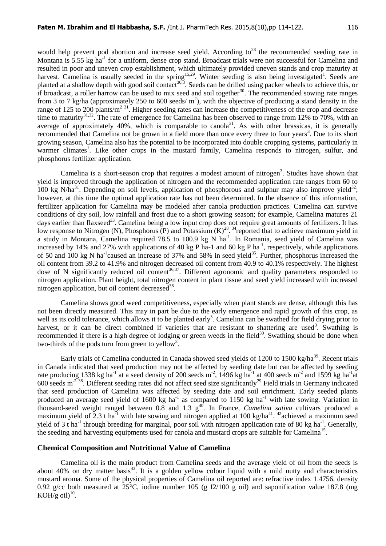would help prevent pod abortion and increase seed yield. According to<sup>28</sup> the recommended seeding rate in Montana is 5.55 kg ha<sup>-1</sup> for a uniform, dense crop stand. Broadcast trials were not successful for Camelina and resulted in poor and uneven crop establishment, which ultimately provided uneven stands and crop maturity at harvest. Camelina is usually seeded in the spring<sup>15,29</sup>. Winter seeding is also being investigated<sup>1</sup>. Seeds are planted at a shallow depth with good soil contact<sup>30,3</sup>. Seeds can be drilled using packer wheels to achieve this, or if broadcast, a roller harrow can be used to mix seed and soil together<sup>30</sup>. The recommended sowing rate ranges from 3 to 7 kg/ha (approximately 250 to 600 seeds/ $m^2$ ), with the objective of producing a stand density in the range of 125 to 200 plants/m<sup>2 31</sup>. Higher seeding rates can increase the competitiveness of the crop and decrease time to maturity<sup>31,32</sup>. The rate of emergence for Camelina has been observed to range from 12% to 70%, with an average of approximately 40%, which is comparable to canola<sup>31</sup>. As with other brassicas, it is generally recommended that Camelina not be grown in a field more than once every three to four years<sup>3</sup>. Due to its short growing season, Camelina also has the potential to be incorporated into double cropping systems, particularly in warmer climates<sup>1</sup>. Like other crops in the mustard family, Camelina responds to nitrogen, sulfur, and phosphorus fertilizer application.

Camelina is a short-season crop that requires a modest amount of nitrogen<sup>3</sup>. Studies have shown that yield is improved through the application of nitrogen and the recommended application rate ranges from 60 to 100 kg N/ha<sup>31</sup>. Depending on soil levels, application of phosphorous and sulphur may also improve yield<sup>32</sup>; however, at this time the optimal application rate has not been determined. In the absence of this information, fertilizer application for Camelina may be modeled after canola production practices. Camelina can survive conditions of dry soil, low rainfall and frost due to a short growing season; for example, Camelina matures 21 days earlier than flaxseed<sup>33</sup>. Camelina being a low input crop does not require great amounts of fertilizers. It has low response to Nitrogen (N), Phosphorus (P) and Potassium  $(K)^{28}$ . <sup>34</sup> reported that to achieve maximum yield in a study in Montana, Camelina required 78.5 to 100.9 kg N ha<sup>-1</sup>. In Romania, seed yield of Camelina was increased by 14% and 27% with applications of 40 kg P ha-1 and 60 kg P ha<sup>-1</sup>, respectively, while applications of 50 and 100 kg N ha<sup>-1</sup>caused an increase of 37% and 58% in seed yield<sup>35</sup>. Further, phosphorus increased the oil content from 39.2 to 41.9% and nitrogen decreased oil content from 40.9 to 40.1% respectively. The highest dose of N significantly reduced oil content<sup>36,37</sup>. Different agronomic and quality parameters responded to nitrogen application. Plant height, total nitrogen content in plant tissue and seed yield increased with increased nitrogen application, but oil content decreased $38$ .

Camelina shows good weed competitiveness, especially when plant stands are dense, although this has not been directly measured. This may in part be due to the early emergence and rapid growth of this crop, as well as its cold tolerance, which allows it to be planted early<sup>3</sup>. Camelina can be swathed for field drying prior to harvest, or it can be direct combined if varieties that are resistant to shattering are used<sup>3</sup>. Swathing is recommended if there is a high degree of lodging or green weeds in the field $30$ . Swathing should be done when two-thirds of the pods turn from green to yellow<sup>3</sup>.

Early trials of Camelina conducted in Canada showed seed vields of 1200 to 1500 kg/ha<sup>39</sup>. Recent trials in Canada indicated that seed production may not be affected by seeding date but can be affected by seeding rate producing 1338 kg ha<sup>-1</sup> at a seed density of 200 seeds m<sup>-2</sup>, 1496 kg ha<sup>-1</sup> at 400 seeds m<sup>-2</sup> and 1599 kg ha<sup>-1</sup> at 600 seeds m<sup>-2 38</sup>. Different seeding rates did not affect seed size significantly<sup>29</sup> Field trials in Germany indicated that seed production of Camelina was affected by seeding date and soil enrichment. Early seeded plants produced an average seed yield of 1600 kg ha<sup>-1</sup> as compared to 1150 kg ha<sup>-1</sup> with late sowing. Variation in thousand-seed weight ranged between  $0.8$  and  $1.3$  g<sup>40</sup>. In France, *Camelina sativa* cultivars produced a maximum yield of 2.3 t ha<sup>-1</sup> with late sowing and nitrogen applied at 100 kg/ha<sup>41</sup>. <sup>42</sup>achieved a maximum seed yield of 3 t ha<sup>-1</sup> through breeding for marginal, poor soil with nitrogen application rate of 80 kg ha<sup>-1</sup>. Generally, the seeding and harvesting equipments used for canola and mustard crops are suitable for Camelina<sup>15</sup>.

#### **Chemical Composition and Nutritional Value of Camelina**

Camelina oil is the main product from Camelina seeds and the average yield of oil from the seeds is about 40% on dry matter basis<sup>43</sup>. It is a golden yellow colour liquid with a mild nutty and characteristics mustard aroma. Some of the physical properties of Camelina oil reported are: refractive index 1.4756, density 0.92 g/cc both measured at  $25^{\circ}$ C, iodine number 105 (g I2/100 g oil) and saponification value 187.8 (mg KOH/g oil $1^{10}$ .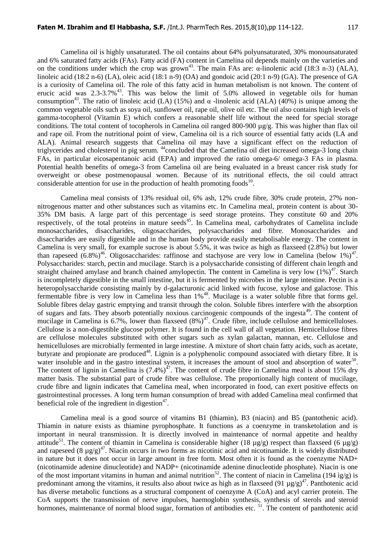Camelina oil is highly unsaturated. The oil contains about 64% polyunsaturated, 30% monounsaturated and 6% saturated fatty acids (FAs). Fatty acid (FA) content in Camelina oil depends mainly on the varieties and on the conditions under which the crop was grown<sup>43</sup>. The main FAs are:  $\alpha$ -linolenic acid (18:3 n-3) (ALA), linoleic acid (18:2 n-6) (LA), oleic acid (18:1 n-9) (OA) and gondoic acid (20:1 n-9) (GA). The presence of GA is a curiosity of Camelina oil. The role of this fatty acid in human metabolism is not known. The content of erucic acid was  $2.3-3.7\%$ <sup>43</sup>. This was below the limit of 5.0% allowed in vegetable oils for human consumption<sup>43</sup>. The ratio of linoleic acid (LA) (15%) and α -linolenic acid (ALA) (40%) is unique among the common vegetable oils such as soya oil, sunflower oil, rape oil, olive oil etc. The oil also contains high levels of gamma-tocopherol (Vitamin E) which confers a reasonable shelf life without the need for special storage conditions. The total content of tocopherols in Camelina oil ranged 800-900 µg/g. This was higher than flax oil and rape oil. From the nutritional point of view, Camelina oil is a rich source of essential fatty acids (LA and ALA). Animal research suggests that Camelina oil may have a significant effect on the reduction of triglycerides and cholesterol in pig serum. <sup>44</sup>concluded that the Camelina oil diet increased omega-3 long chain FAs, in particular eicosapentanoic acid (EPA) and improved the ratio omega-6/ omega-3 FAs in plasma. Potential health benefits of omega-3 from Camelina oil are being evaluated in a breast cancer risk study for overweight or obese postmenopausal women. Because of its nutritional effects, the oil could attract considerable attention for use in the production of health promoting foods $^{10}$ .

Camelina meal consists of 13% residual oil, 6% ash, 12% crude fibre, 30% crude protein, 27% nonnitrogenous matter and other substances such as vitamins etc. In Camelina meal, protein content is about 30- 35% DM basis. A large part of this percentage is seed storage proteins. They constitute 60 and 20% respectively, of the total proteins in mature seeds<sup>45</sup>. In Camelina meal, carbohydrates of Camelina include monosaccharides, disaccharides, oligosaccharides, polysaccharides and fibre. Monosaccharides and disaccharides are easily digestible and in the human body provide easily metabolisable energy. The content in Camelina is very small, for example sucrose is about 5.5%, it was twice as high as flaxseed (2.8%) but lower than rapeseed  $(6.8\%)^{46}$ . Oligosaccharides: raffinose and stachyose are very low in Camelina (below 1%)<sup>47</sup>. Polysaccharides: starch, pectin and mucilage. Starch is a polysaccharide consisting of different chain length and straight chained amylase and branch chained amylopectin. The content in Camelina is very low  $(1\%)^{47}$ . Starch is incompletely digestible in the small intestine, but it is fermented by microbes in the large intestine. Pectin is a heteropolysaccharide consisting mainly by d-galacturonic acid linked with fucose, xylose and galactose. This fermentable fibre is very low in Camelina less than 1%<sup>48</sup>. Mucilage is a water soluble fibre that forms gel. Soluble fibres delay gastric emptying and transit through the colon. Soluble fibres interfere with the absorption of sugars and fats. They absorb potentially noxious carcinogenic compounds of the ingesta<sup>49</sup>. The content of mucilage in Camelina is 6.7%, lower than flaxseed  $(8%)^{47}$ . Crude fibre, include cellulose and hemicelluloses. Cellulose is a non-digestible glucose polymer. It is found in the cell wall of all vegetation. Hemicellulose fibres are cellulose molecules substituted with other sugars such as xylan galactan, mannan, etc. Cellulose and hemicelluloses are microbially fermented in large intestine. A mixture of short chain fatty acids, such as acetate, butyrate and propionate are produced<sup>48</sup>. Lignin is a polyphenolic compound associated with dietary fibre. It is water insoluble and in the gastro intestinal system, it increases the amount of stool and absorption of water<sup>50</sup>. The content of lignin in Camelina is  $(7.4\%)^{47}$ . The content of crude fibre in Camelina meal is about 15% dry matter basis. The substantial part of crude fibre was cellulose. The proportionally high content of mucilage, crude fibre and lignin indicates that Camelina meal, when incorporated in food, can exert positive effects on gastrointestinal processes. A long term human consumption of bread with added Camelina meal confirmed that beneficial role of the ingredient in digestion $47$ .

Camelina meal is a good source of vitamins B1 (thiamin), B3 (niacin) and B5 (pantothenic acid). Thiamin in nature exists as thiamine pyrophosphate. It functions as a coenzyme in transketolation and is important in neural transmission. It is directly involved in maintenance of normal appetite and healthy attitude<sup>51</sup>. The content of thiamin in Camelina is considerable higher (18  $\mu$ g/g) respect than flaxseed (6  $\mu$ g/g) and rapeseed (8  $\mu$ g/g)<sup>47</sup>. Niacin occurs in two forms as nicotinic acid and nicotinamide. It is widely distributed in nature but it does not occur in large amount in free form. Most often it is found as the coenzyme NAD+ (nicotinamide adenine dinucleotide) and NADP+ (nicotinamide adenine dinucleotide phosphate). Niacin is one of the most important vitamins in human and animal nutrition<sup>52</sup>. The content of niacin in Camelina (194 ìg/g) is predominant among the vitamins, it results also about twice as high as in flaxseed (91  $\mu$ g/g)<sup>47</sup>. Panthotenic acid has diverse metabolic functions as a structural component of coenzyme A (CoA) and acyl carrier protein. The CoA supports the transmission of nerve impulses, haemoglobin synthesis, synthesis of sterols and steroid hormones, maintenance of normal blood sugar, formation of antibodies etc.<sup>51</sup>. The content of panthotenic acid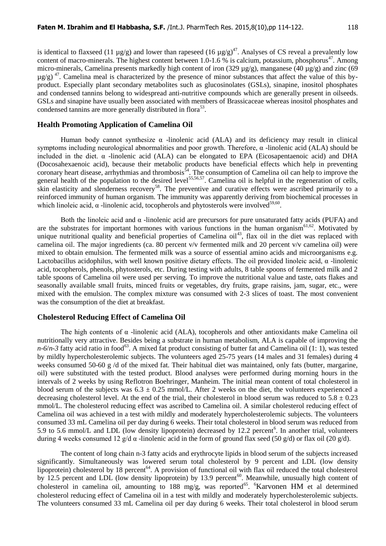is identical to flaxseed (11  $\mu$ g/g) and lower than rapeseed (16  $\mu$ g/g)<sup>47</sup>. Analyses of CS reveal a prevalently low content of macro-minerals. The highest content between 1.0-1.6 % is calcium, potassium, phosphorus<sup>47</sup>. Among micro-minerals, Camelina presents markedly high content of iron (329 µg/g), manganese (40 µg/g) and zinc (69  $\mu$ g/g)<sup>47</sup>. Camelina meal is characterized by the presence of minor substances that affect the value of this byproduct. Especially plant secondary metabolites such as glucosinolates (GSLs), sinapine, inositol phosphates and condensed tannins belong to widespread anti-nutritive compounds which are generally present in oilseeds. GSLs and sinapine have usually been associated with members of Brassicaceae whereas inositol phosphates and condensed tannins are more generally distributed in flora<sup>53</sup>.

#### **Health Promoting Application of Camelina Oil**

Human body cannot synthesize  $\alpha$  -linolenic acid (ALA) and its deficiency may result in clinical symptoms including neurological abnormalities and poor growth. Therefore, α -linolenic acid (ALA) should be included in the diet. α -linolenic acid (ALA) can be elongated to EPA (Eicosapentaenoic acid) and DHA (Docosahexaenoic acid), because their metabolic products have beneficial effects which help in preventing coronary heart disease, arrhythmias and thrombosis<sup>54</sup>. The consumption of Camelina oil can help to improve the general health of the population to the desired level<sup>55,56,57</sup>. Camelina oil is helpful in the regeneration of cells, skin elasticity and slenderness recovery<sup>58</sup>. The preventive and curative effects were ascribed primarily to a reinforced immunity of human organism. The immunity was apparently deriving from biochemical processes in which linoleic acid,  $\alpha$ -linolenic acid, tocopherols and phytosterols were involved<sup>59,60</sup>.

Both the linoleic acid and  $\alpha$  -linolenic acid are precursors for pure unsaturated fatty acids (PUFA) and are the substrates for important hormones with various functions in the human organism $61,62$ . Motivated by unique nutritional quality and beneficial properties of Camelina oil<sup>43</sup>, flax oil in the diet was replaced with camelina oil. The major ingredients (ca. 80 percent v/v fermented milk and 20 percent v/v camelina oil) were mixed to obtain emulsion. The fermented milk was a source of essential amino acids and microorganisms e.g. Lactobacillus acidophilus, with well known positive dietary effects. The oil provided linoleic acid,  $\alpha$ -linolenic acid, tocopherols, phenols, phytosterols, etc. During testing with adults, 8 table spoons of fermented milk and 2 table spoons of Camelina oil were used per serving. To improve the nutritional value and taste, oats flakes and seasonally available small fruits, minced fruits or vegetables, dry fruits, grape raisins, jam, sugar, etc., were mixed with the emulsion. The complex mixture was consumed with 2-3 slices of toast. The most convenient was the consumption of the diet at breakfast.

### **Cholesterol Reducing Effect of Camelina Oil**

The high contents of  $\alpha$  -linolenic acid (ALA), tocopherols and other antioxidants make Camelina oil nutritionally very attractive. Besides being a substrate in human metabolism, ALA is capable of improving the  $n-6/n-3$  fatty acid ratio in food<sup>63</sup>. A mixed fat product consisting of butter fat and Camelina oil (1: 1), was tested by mildly hypercholesterolemic subjects. The volunteers aged 25-75 years (14 males and 31 females) during 4 weeks consumed 50-60 g /d of the mixed fat. Their habitual diet was maintained, only fats (butter, margarine, oil) were substituted with the tested product. Blood analyses were performed during morning hours in the intervals of 2 weeks by using Reflotron Boehringer, Manheim. The initial mean content of total cholesterol in blood serum of the subjects was  $6.3 \pm 0.25$  mmol/L. After 2 weeks on the diet, the volunteers experienced a decreasing cholesterol level. At the end of the trial, their cholesterol in blood serum was reduced to  $5.8 \pm 0.23$ mmol/L. The cholesterol reducing effect was ascribed to Camelina oil. A similar cholesterol reducing effect of Camelina oil was achieved in a test with mildly and moderately hypercholesterolemic subjects. The volunteers consumed 33 mL Camelina oil per day during 6 weeks. Their total cholesterol in blood serum was reduced from 5.9 to 5.6 mmol/L and LDL (low density lipoprotein) decreased by 12.2 percent<sup>6</sup>. In another trial, volunteers during 4 weeks consumed 12 g/d  $\alpha$  -linolenic acid in the form of ground flax seed (50 g/d) or flax oil (20 g/d).

The content of long chain n-3 fatty acids and erythrocyte lipids in blood serum of the subjects increased significantly. Simultaneously was lowered serum total cholesterol by 9 percent and LDL (low density lipoprotein) cholesterol by 18 percent<sup>64</sup>. A provision of functional oil with flax oil reduced the total cholesterol by 12.5 percent and LDL (low density lipoprotein) by 13.9 percent<sup>60</sup>. Meanwhile, unusually high content of cholesterol in camelina oil, amounting to 188 mg/g, was reported<sup>65</sup>. <sup>6</sup>Karvonen HM et al determined cholesterol reducing effect of Camelina oil in a test with mildly and moderately hypercholesterolemic subjects. The volunteers consumed 33 mL Camelina oil per day during 6 weeks. Their total cholesterol in blood serum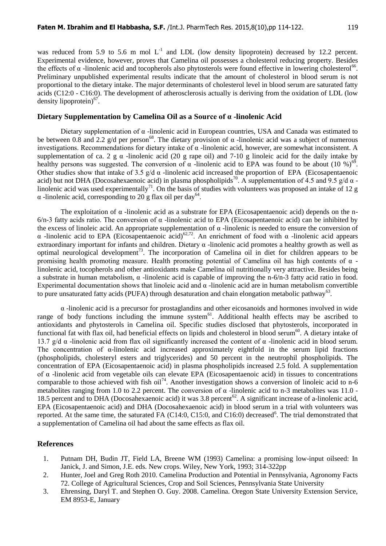was reduced from 5.9 to 5.6 m mol  $L^{-1}$  and LDL (low density lipoprotein) decreased by 12.2 percent. Experimental evidence, however, proves that Camelina oil possesses a cholesterol reducing property. Besides the effects of  $\alpha$  -linolenic acid and tocopherols also phytosterols were found effective in lowering cholesterol<sup>66</sup>. Preliminary unpublished experimental results indicate that the amount of cholesterol in blood serum is not proportional to the dietary intake. The major determinants of cholesterol level in blood serum are saturated fatty acids (C12:0 - C16:0). The development of atherosclerosis actually is deriving from the oxidation of LDL (low density lipoprotein)<sup>67</sup>.

### **Dietary Supplementation by Camelina Oil as a Source of α -linolenic Acid**

Dietary supplementation of α -linolenic acid in European countries, USA and Canada was estimated to be between 0.8 and 2.2 g/d per person<sup>68</sup>. The dietary provision of  $\alpha$  -linolenic acid was a subject of numerous investigations. Recommendations for dietary intake of α -linolenic acid, however, are somewhat inconsistent. A supplementation of ca. 2 g  $\alpha$  -linolenic acid (20 g rape oil) and 7-10 g linoleic acid for the daily intake by healthy persons was suggested. The conversion of  $\alpha$  -linolenic acid to EPA was found to be about (10 %)<sup>69</sup>. Other studies show that intake of 3.5  $g/d \alpha$  -linolenic acid increased the proportion of EPA (Eicosapentaenoic acid) but not DHA (Docosahexaenoic acid) in plasma phospholipids<sup>70</sup>. A supplementation of 4.5 and 9.5 g/d  $\alpha$  linolenic acid was used experimentally<sup>71</sup>. On the basis of studies with volunteers was proposed an intake of 12 g  $\alpha$  -linolenic acid, corresponding to 20 g flax oil per day<sup>64</sup>.

The exploitation of  $\alpha$  -linolenic acid as a substrate for EPA (Eicosapentaenoic acid) depends on the n-6/n-3 fatty acids ratio. The conversion of α -linolenic acid to EPA (Eicosapentaenoic acid) can be inhibited by the excess of linoleic acid. An appropriate supplementation of  $\alpha$ -linolenic is needed to ensure the conversion of α -linolenic acid to EPA (Eicosapentaenoic acid)62,72. An enrichment of food with α -linolenic acid appears extraordinary important for infants and children. Dietary  $\alpha$  -linolenic acid promotes a healthy growth as well as optimal neurological development<sup>73</sup>. The incorporation of Camelina oil in diet for children appears to be promising health promoting measure. Health promoting potential of Camelina oil has high contents of  $\alpha$  linolenic acid, tocopherols and other antioxidants make Camelina oil nutritionally very attractive. Besides being a substrate in human metabolism, α -linolenic acid is capable of improving the n-6/n-3 fatty acid ratio in food. Experimental documentation shows that linoleic acid and α -linolenic acid are in human metabolism convertible to pure unsaturated fatty acids (PUFA) through desaturation and chain elongation metabolic pathway<sup>63</sup>.

α -linolenic acid is a precursor for prostaglandins and other eicosanoids and hormones involved in wide range of body functions including the immune system<sup>61</sup>. Additional health effects may be ascribed to antioxidants and phytosterols in Camelina oil. Specific studies disclosed that phytosterols, incorporated in functional fat with flax oil, had beneficial effects on lipids and cholesterol in blood serum<sup>60</sup>. A dietary intake of 13.7 g/d α -linolenic acid from flax oil significantly increased the content of α -linolenic acid in blood serum. The concentration of α-linolenic acid increased approximately eightfold in the serum lipid fractions (phospholipids, cholesteryl esters and triglycerides) and 50 percent in the neutrophil phospholipids. The concentration of EPA (Eicosapentaenoic acid) in plasma phospholipids increased 2.5 fold. A supplementation of α -linolenic acid from vegetable oils can elevate EPA (Eicosapentaenoic acid) in tissues to concentrations comparable to those achieved with fish oil<sup>74</sup>. Another investigation shows a conversion of linoleic acid to n-6 metabolites ranging from 1.0 to 2.2 percent. The conversion of  $\alpha$  -linolenic acid to n-3 metabolites was 11.0 -18.5 percent and to DHA (Docosahexaenoic acid) it was 3.8 percent<sup>62</sup>. A significant increase of a-linolenic acid, EPA (Eicosapentaenoic acid) and DHA (Docosahexaenoic acid) in blood serum in a trial with volunteers was reported. At the same time, the saturated FA (C14:0, C15:0, and C16:0) decreased<sup>6</sup>. The trial demonstrated that a supplementation of Camelina oil had about the same effects as flax oil.

#### **References**

- 1. Putnam DH, Budin JT, Field LA, Breene WM (1993) Camelina: a promising low-input oilseed: In Janick, J. and Simon, J.E. eds. New crops. Wiley, New York, 1993; 314-322pp
- 2. Hunter, Joel and Greg Roth 2010. Camelina Production and Potential in Pennsylvania, Agronomy Facts 72. College of Agricultural Sciences, Crop and Soil Sciences, Pennsylvania State University
- 3. Ehrensing, Daryl T. and Stephen O. Guy. 2008. Camelina. Oregon State University Extension Service, EM 8953-E, January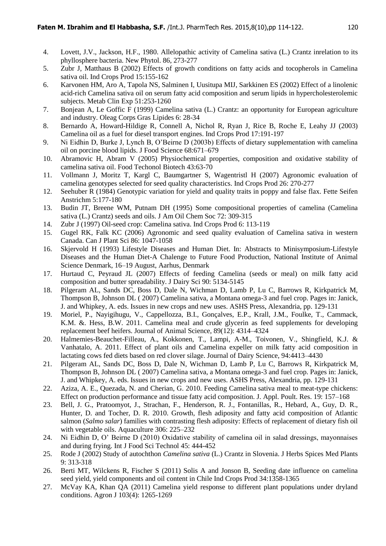- 4. Lovett, J.V., Jackson, H.F., 1980. Allelopathic activity of Camelina sativa (L.) Crantz inrelation to its phyllosphere bacteria. New Phytol. 86, 273-277
- 5. Zubr J, Matthaus B (2002) Effects of growth conditions on fatty acids and tocopherols in Camelina sativa oil. Ind Crops Prod 15:155-162
- 6. Karvonen HM, Aro A, Tapola NS, Salminen I, Uusitupa MIJ, Sarkkinen ES (2002) Effect of a linolenic acid-rich Camelina sativa oil on serum fatty acid composition and serum lipids in hypercholesterolemic subjects. Metab Clin Exp 51:253-1260
- 7. Bonjean A, Le Goffic F (1999) Camelina sativa (L.) Crantz: an opportunity for European agriculture and industry. Oleag Corps Gras Lipides 6: 28-34
- 8. Bernardo A, Howard-Hildige R, Connell A, Nichol R, Ryan J, Rice B, Roche E, Leahy JJ (2003) Camelina oil as a fuel for diesel transport engines. Ind Crops Prod 17:191-197
- 9. Ni Eidhin D, Burke J, Lynch B, O'Beirne D (2003b) Effects of dietary supplementation with camelina oil on porcine blood lipids. J Food Science 68:671–679
- 10. Abramovic H, Abram V (2005) Physiochemical properties, composition and oxidative stability of camelina sativa oil. Food Techonol Biotech 43:63-70
- 11. Vollmann J, Moritz T, Kargl C, Baumgartner S, Wagentristl H (2007) Agronomic evaluation of camelina genotypes selected for seed quality characteristics. Ind Crops Prod 26: 270-277
- 12. Seehuber R (1984) Genotypic variation for yield and quality traits in poppy and false flax. Fette Seifen Anstrichm 5:177-180
- 13. Budin JT, Breene WM, Putnam DH (1995) Some compositional properties of camelina (Camelina sativa (L.) Crantz) seeds and oils. J Am Oil Chem Soc 72: 309-315
- 14. Zubr J (1997) Oil-seed crop: Camelina sativa. Ind Crops Prod 6: 113-119
- 15. Gugel RK, Falk KC (2006) Agronomic and seed quality evaluation of Camelina sativa in western Canada. Can J Plant Sci 86: 1047-1058
- 16. Skjervold H (1993) Lifestyle Diseases and Human Diet. In: Abstracts to Minisymposium-Lifestyle Diseases and the Human Diet-A Chalenge to Future Food Production, National Institute of Animal Science Denmark, 16–19 August, Aarhus, Denmark
- 17. Hurtaud C, Peyraud JL (2007) Effects of feeding Camelina (seeds or meal) on milk fatty acid composition and butter spreadability. J Dairy Sci 90: 5134-5145
- 18. Pilgeram AL, Sands DC, Boss D, Dale N, Wichman D, Lamb P, Lu C, Barrows R, Kirkpatrick M, Thompson B, Johnson DL ( 2007) Camelina sativa, a Montana omega-3 and fuel crop. Pages in: Janick, J. and Whipkey, A. eds. Issues in new crops and new uses. ASHS Press, Alexandria, pp. 129-131
- 19. Moriel, P., Nayigihugu, V., Cappellozza, B.I., Gonçalves, E.P., Krall, J.M., Foulke, T., Cammack, K.M. &. Hess, B.W. 2011. Camelina meal and crude glycerin as feed supplements for developing replacement beef heifers. Journal of Animal Science, 89(12): 4314–4324
- 20. Halmemies-Beauchet-Filleau, A., Kokkonen, T., Lampi, A-M., Toivonen, V., Shingfield, K.J. & Vanhatalo, A. 2011. Effect of plant oils and Camelina expeller on milk fatty acid composition in lactating cows fed diets based on red clover silage. Journal of Dairy Science, 94:4413–4430
- 21. Pilgeram AL, Sands DC, Boss D, Dale N, Wichman D, Lamb P, Lu C, Barrows R, Kirkpatrick M, Thompson B, Johnson DL ( 2007) Camelina sativa, a Montana omega-3 and fuel crop. Pages in: Janick, J. and Whipkey, A. eds. Issues in new crops and new uses. ASHS Press, Alexandria, pp. 129-131
- 22. Aziza, A. E., Quezada, N. and Cherian, G. 2010. Feeding Camelina sativa meal to meat-type chickens: Effect on production performance and tissue fatty acid composition. J. Appl. Poult. Res. 19: 157–168
- 23. Bell, J. G., Pratoomyot, J., Strachan, F., Henderson, R. J., Fontanillas, R., Hebard, A., Guy, D. R., Hunter, D. and Tocher, D. R. 2010. Growth, flesh adiposity and fatty acid composition of Atlantic salmon (*Salmo salar*) families with contrasting flesh adiposity: Effects of replacement of dietary fish oil with vegetable oils. Aquaculture 306: 225–232
- 24. Ni Eidhin D, O' Beirne D (2010) Oxidative stability of camelina oil in salad dressings, mayonnaises and during frying. Int J Food Sci Technol 45: 444-452
- 25. Rode J (2002) Study of autochthon *Camelina sativa* (L.) Crantz in Slovenia. J Herbs Spices Med Plants 9: 313-318
- 26. Berti MT, Wilckens R, Fischer S (2011) Solis A and Jonson B, Seeding date influence on camelina seed yield, yield components and oil content in Chile Ind Crops Prod 34:1358-1365
- 27. McVay KA, Khan QA (2011) Camelina yield response to different plant populations under dryland conditions. Agron J 103(4): 1265-1269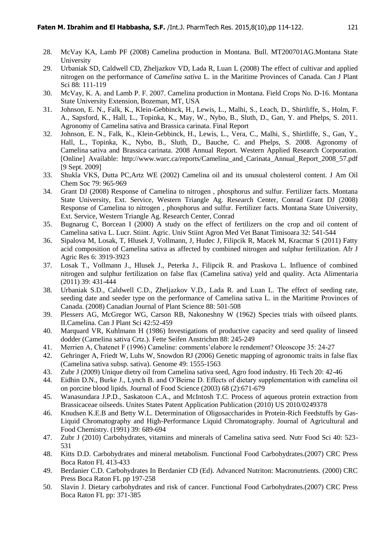- 28. McVay KA, Lamb PF (2008) Camelina production in Montana. Bull. MT200701AG.Montana State University
- 29. Urbaniak SD, Caldwell CD, Zheljazkov VD, Lada R, Luan L (2008) The effect of cultivar and applied nitrogen on the performance of *Camelina sativa* L. in the Maritime Provinces of Canada. Can J Plant Sci 88: 111-119
- 30. McVay, K. A. and Lamb P. F. 2007. Camelina production in Montana. Field Crops No. D-16. Montana State University Extension, Bozeman, MT, USA
- 31. Johnson, E. N., Falk, K., Klein-Gebbinck, H., Lewis, L., Malhi, S., Leach, D., Shirtliffe, S., Holm, F. A., Sapsford, K., Hall, L., Topinka, K., May, W., Nybo, B., Sluth, D., Gan, Y. and Phelps, S. 2011. Agronomy of Camelina sativa and Brassica carinata. Final Report
- 32. Johnson, E. N., Falk, K., Klein-Gebbinck, H., Lewis, L., Vera, C., Malhi, S., Shirtliffe, S., Gan, Y., Hall, L., Topinka, K., Nybo, B., Sluth, D., Bauche, C. and Phelps, S. 2008. Agronomy of Camelina sativa and Brassica carinata. 2008 Annual Report. Western Applied Research Corporation. [Online] Available: http://www.warc.ca/reports/Camelina\_and\_Carinata\_Annual\_Report\_2008\_57.pdf [9 Sept. 2009]
- 33. Shukla VKS, Dutta PC,Artz WE (2002) Camelina oil and its unusual cholesterol content. J Am Oil Chem Soc 79: 965-969
- 34. Grant DJ (2008) Response of Camelina to nitrogen , phosphorus and sulfur. Fertilizer facts. Montana State University, Ext. Service, Western Triangle Ag. Research Center, Conrad Grant DJ (2008) Response of Camelina to nitrogen , phosphorus and sulfur. Fertilizer facts. Montana State University, Ext. Service, Western Triangle Ag. Research Center, Conrad
- 35. Bugnarug C, Borcean I (2000) A study on the effect of fertilizers on the crop and oil content of Camelina sativa L. Lucr. Stiint. Agric. Univ Stiint Agron Med Vet Banat Timisoara 32: 541-544
- 36. Sipalova M, Losak, T, Hlusek J, Vollmann, J, Hudec J, Filipcik R, Macek M, Kracmar S (2011) Fatty acid composition of Camelina sativa as affected by combined nitrogen and sulphur fertilization. Afr J Agric Res 6: 3919-3923
- 37. Losak T., Vollmann J., Hlusek J., Peterka J., Filipcik R. and Praskova L. Influence of combined nitrogen and sulphur fertilization on false flax (Camelina sativa) yeld and quality. Acta Alimentaria (2011) 39: 431-444
- 38. Urbaniak S.D., Caldwell C.D., Zheljazkov V.D., Lada R. and Luan L. The effect of seeding rate, seeding date and seeder type on the performance of Camelina sativa L. in the Maritime Provinces of Canada. (2008) Canadian Journal of Plant Science 88: 501-508
- 39. Plessers AG, McGregor WG, Carson RB, Nakoneshny W (1962) Species trials with oilseed plants. II.Camelina. Can J Plant Sci 42:52-459
- 40. Marquard VR, Kuhlmann H (1986) Investigations of productive capacity and seed quality of linseed dodder (Camelina sativa Crtz.). Fette Seifen Anstrichm 88: 245-249
- 41. Merrien A, Chatenet F (1996) Cameline: comments'elabore le rendement? Oleoscope 35: 24-27
- 42. Gehringer A, Friedt W, Luhs W, Snowdon RJ (2006) Genetic mapping of agronomic traits in false flax (Camelina sativa subsp. sativa). Genome 49: 1555-1563
- 43. Zubr J (2009) Unique dietry oil from Camelina sativa seed, Agro food industry. Hi Tech 20: 42-46
- 44. Eidhin D.N., Burke J., Lynch B. and O'Beirne D. Effects of dietary supplementation with camelina oil on porcine blood lipids. Journal of Food Science (2003) 68 (2):671-679
- 45. Wanasundara J.P.D., Saskatoon C.A., and McIntosh T.C. Process of aqueous protein extraction from Brassicaceae oilseeds. Unites States Patent Application Publication (2010) US 2010/0249378
- 46. Knudsen K.E.B and Betty W.L. Determination of Oligosaccharides in Protein-Rich Feedstuffs by Gas-Liquid Chromatography and High-Performance Liquid Chromatography. Journal of Agricultural and Food Chemistry. (1991) 39: 689-694
- 47. Zubr J (2010) Carbohydrates, vitamins and minerals of Camelina sativa seed. Nutr Food Sci 40: 523- 531
- 48. Kitts D.D. Carbohydrates and mineral metabolism. Functional Food Carbohydrates.(2007) CRC Press Boca Raton FL 413-433
- 49. Berdanier C.D. Carbohydrates In Berdanier CD (Ed). Advanced Nutriton: Macronutrients. (2000) CRC Press Boca Raton FL pp 197-258
- 50. Slavin J. Dietary carbohydrates and risk of cancer. Functional Food Carbohydrates.(2007) CRC Press Boca Raton FL pp: 371-385